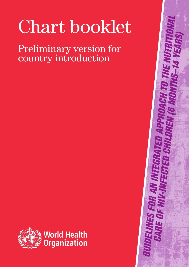# Chart booklet

Preliminary version for country introduction



*Guidelines for an integrated approach to the nutritional care of HIV-infected children (6 months–14 years)*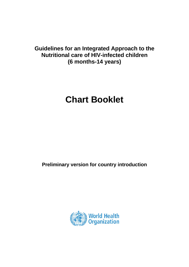### **Guidelines for an Integrated Approach to the Nutritional care of HIV-infected children (6 months-14 years)**

## **Chart Booklet**

**Preliminary version for country introduction** 

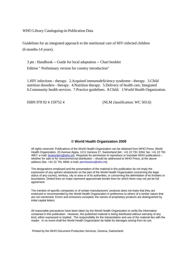WHO Library Cataloguing-in-Publication Data

Guidelines for an integrated approach to the nutritional care of HIV-infected children (6 months-14 years).

 3 pts : Handbook -- Guide for local adaptation -- Chart booklet Edition " Preliminary version for country introduction"

1.HIV infections - therapy. 2.Acquired immunodeficiency syndrome - therapy. 3.Child nutrition disorders - therapy. 4.Nutrition therapy. 5.Delivery of health care, Integrated 6.Community health services. 7.Practice guidelines. 8.Child. I.World Health Organization.

ISBN 978 92 4 159752 4 (NLM classification: WC 503.6)

### **© World Health Organization 2009**

All rights reserved. Publications of the World Health Organization can be obtained from WHO Press, World Health Organization, 20 Avenue Appia, 1211 Geneva 27, Switzerland (tel.: +41 22 791 3264; fax: +41 22 791 4857; e-mail: bookorders@who.int). Requests for permission to reproduce or translate WHO publications whether for sale or for noncommercial distribution – should be addressed to WHO Press, at the above address (fax: +41 22 791 4806; e-mail: permissions@who.int).

The designations employed and the presentation of the material in this publication do not imply the expression of any opinion whatsoever on the part of the World Health Organization concerning the legal status of any country, territory, city or area or of its authorities, or concerning the delimitation of its frontiers or boundaries. Dotted lines on maps represent approximate border lines for which there may not yet be full agreement.

The mention of specific companies or of certain manufacturers' products does not imply that they are endorsed or recommended by the World Health Organization in preference to others of a similar nature that are not mentioned. Errors and omissions excepted, the names of proprietary products are distinguished by initial capital letters.

All reasonable precautions have been taken by the World Health Organization to verify the information contained in this publication. However, the published material is being distributed without warranty of any kind, either expressed or implied. The responsibility for the interpretation and use of the material lies with the reader. In no event shall the World Health Organization be liable for damages arising from its use.

Printed by the WHO Document Production Services, Geneva, Switzerland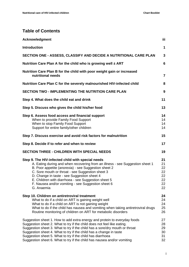### **Table of Contents**

| Acknowledgment                                                                                                                                                                                                                                                                                                                                                                                                                                     | iίi                                          |
|----------------------------------------------------------------------------------------------------------------------------------------------------------------------------------------------------------------------------------------------------------------------------------------------------------------------------------------------------------------------------------------------------------------------------------------------------|----------------------------------------------|
| <b>Introduction</b>                                                                                                                                                                                                                                                                                                                                                                                                                                | 1                                            |
| SECTION ONE - ASSESS, CLASSIFY AND DECIDE A NUTRITIONAL CARE PLAN                                                                                                                                                                                                                                                                                                                                                                                  | 3                                            |
| Nutrition Care Plan A for the child who is growing well $\pm$ ART                                                                                                                                                                                                                                                                                                                                                                                  | 6                                            |
| Nutrition Care Plan B for the child with poor weight gain or increased<br>nutritional needs                                                                                                                                                                                                                                                                                                                                                        | $\overline{7}$                               |
| Nutrition Care Plan C for the severely malnourished HIV-infected child                                                                                                                                                                                                                                                                                                                                                                             | 8                                            |
| <b>SECTION TWO - IMPLEMENTING THE NUTRITION CARE PLAN</b>                                                                                                                                                                                                                                                                                                                                                                                          | 9                                            |
| Step 4. What does the child eat and drink                                                                                                                                                                                                                                                                                                                                                                                                          | 11                                           |
| Step 5. Discuss who gives the child his/her food                                                                                                                                                                                                                                                                                                                                                                                                   | 13                                           |
| Step 6. Assess food access and financial support<br>When to provide Family Food Support<br>When to stop Family Food Support<br>Support for entire family/other children<br>Step 7. Discuss exercise and avoid risk factors for malnutrition                                                                                                                                                                                                        | 14<br>14<br>14<br>14<br>15                   |
| Step 8. Decide if to refer and when to review                                                                                                                                                                                                                                                                                                                                                                                                      | 17                                           |
| <b>SECTION THREE - CHILDREN WITH SPECIAL NEEDS</b>                                                                                                                                                                                                                                                                                                                                                                                                 | 19                                           |
| Step 9. The HIV-infected child with special needs<br>A. Eating during and when recovering from an illness - see Suggestion sheet 1<br>B. Poor appetite (anorexia) - see Suggestion sheet 2<br>C. Sore mouth or throat - see Suggestion sheet 3<br>D. Change in taste - see Suggestion sheet 4<br>E. Children with diarrhoea - see Suggestion sheet 5<br>F. Nausea and/or vomiting - see Suggestion sheet 6<br>G. Anaemia                           | 21<br>21<br>22<br>22<br>22<br>22<br>22<br>22 |
| Step 10. Children on antiretroviral treatment<br>What to do if a child on ART is gaining weight well<br>What to do if a child on ART is not gaining weight<br>What to do if the child has nausea and vomiting when taking antiretroviral drugs<br>Routine monitoring of children on ART for metabolic disorders                                                                                                                                    | 24<br>24<br>24<br>25<br>26                   |
| Suggestion sheet 1. How to add extra energy and protein to everyday foods<br>Suggestion sheet 2. What to try if the child does not feel like eating.<br>Suggestion sheet 3. What to try if the child has a sore/dry mouth or throat<br>Suggestion sheet 4. What to try if the child has a change in taste<br>Suggestion sheet 5. What to try if the child has diarrhoea<br>Suggestion sheet 6. What to try if the child has nausea and/or vomiting | 27<br>28<br>29<br>30<br>31<br>32             |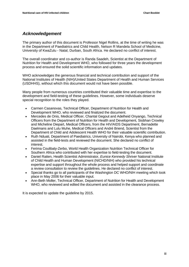### *Acknowledgement*

The primary author of this document is Professor Nigel Rollins, at the time of writing he was in the Department of Paediatrics and Child Health, Nelson R Mandela School of Medicine, University of KwaZulu - Natal, Durban, South Africa. He declared no conflict of interest.

The overall coordinator and co-author is Randa Saadeh, Scientist at the Department of Nutrition for Health and Development WHO, who followed for three years the development process and ensured the solid scientific information and updates.

WHO acknowledges the generous financial and technical contribution and support of the National Institutes of Health (NIH)/United States Department of Health and Human Services (USDHHS), without which this document would not have been possible.

Many people from numerous countries contributed their valuable time and expertise to the development and field-testing of these guidelines. However, some individuals deserve special recognition to the roles they played.

- Carmen Casanovas, Technical Officer, Department of Nutrition for Health and Development WHO, who reviewed and finalized the document.
- Mercedes de Onis, Medical Officer, Chantal Gegout and Adelheid Onyango, Technical Officers from the Department of Nutrition for Health and Development, Siobhan Crowley and Micheline Diepart, Medical Officers, from the HIV/AIDS Department, Bernadette Daelmans and Lulu Muhe, Medical Officers and André Briend, Scientist from the Department of Child and Adolescent Health WHO for their valuable scientific contribution.
- Ruth Nduati, Department of Paediatrics, University of Nairobi, Kenya who planned and assisted in the field-tests and reviewed the document. She declared no conflict of interest.
- Ferima Coulibaly-Zerbo, World Health Organization Nutrition Technical Officer for Southern Africa who contributed with her expertise to field-testing the document.
- Daniel Raiten, Health Scientist Administrator, *Eunice Kennedy Shriver* National Institute of Child Health and Human Development (NICHD/NIH) who provided his technical expertise and support throughout the whole process and helped support and coordinate a review consultation to review the guidelines. He declared no conflict of interest.
- Special thanks go to all participants of the Washington DC WHO/NIH meeting which took place in May 2006 for their valuable input.
- Ann-Beth Moller, Technical Officer, Department of Nutrition for Health and Development WHO, who reviewed and edited the document and assisted in the clearance process.

It is expected to update the guideline by 2015.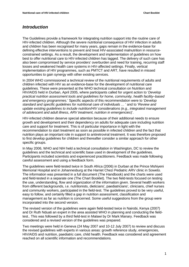### *Introduction*

The Guidelines provide a framework for integrating nutrition support into the routine care of HIV-infected children. Although the severe nutritional consequence of HIV infection in adults and children has been recognised for many years, gaps remain in the evidence-base for defining effective interventions to prevent and treat HIV-associated malnutrition in resourceconstrained settings. As a result, the development and implementation of guidelines on how best to offer nutritional care to HIV-infected children has lagged. The delivery of such care has also been compromised by service providers' overburden and need for training, recurring staff losses and weakened health care systems in HIV-affected settings. Finally, vertical implementation of HIV programmes, such as PMTCT and ART, have resulted in missed opportunities to gain synergy with other existing services.

In 2004 WHO commissioned a technical review of the nutritional requirements of adults and children infected with HIV as an evidence-base for the development of nutritional care guidelines. These were presented at the WHO technical consultation on Nutrition and HIV/AIDS held in Durban, April 2005, where participants called for urgent action to '*Develop practical nutrition assessment tools and guidelines for home, community, health facility–based and emergency programmes.*' Specific aspects of this recommendation were to '*Develop standard and specific guidelines for nutritional care of individuals …* ' and to '*Review and update existing guidelines to include nutrition/HIV considerations (e.g., integrated management of adolescent and adult illness, ARV treatment, nutrition in emergencies*)'.

HIV-infected children deserve special attention because of their additional needs to ensure growth and development and their dependency on adults for adequate care including nutrition care and support for treatment. This is of particular importance in light with the recommendation to start treatment as soon as possible in infected children and the fact that nutrition plays an important role in support to antiretroviral treatment. It was therefore proposed to first develop guidelines for children and thereafter consider a similar approach for other specific groups.

In May 2006, WHO and NIH held a technical consultation in Washington, DC to review the guidelines and the technical and scientific base used in development of the guidelines. Participants included scientists and experienced practitioners. Feedback was made following careful assessment and using a feedback form.

The guidelines were field-tested twice in South Africa (2006) in Durban at the Prince Mshiyeni Memorial Hospital and in Johannesburg at the Harriet Chezi Pediatric ARV clinic in Soweto. The information was presented in a full document (The Handbook) and the charts were used and field-tested in a separate one (The Chart Booklet). The two field-tests focused on testing the use, understanding, flow and organization of the information given. Several health workers from different backgrounds, i.e. nutritionists, dieticians', paediatricians', clinicians, chief nurses and community workers, participated in the field-test. The guidelines proved to be very useful, easy to follow, and certainly filled a gap in nutrition assessment, classification and management as far as nutrition is concerned. Some useful suggestions from the group were incorporated into the second version.

The revised version of the guidelines were again field-tested twice in Nairobi, Kenya (2007) and Dr Ruth Nduati an expert in the area assisted WHO in planning and conducting the fieldtest.. This was followed by a third field-test in Malawi by Dr Mark Manary. Feedback was considered and a revised version of the guidelines was prepared.

Two meetings were held in Geneva (24 May 2007 and 10-12 July 2007) to review and discuss the revised guidelines with experts in various areas: growth reference study, emergencies, HIV/AIDS and nutrition, paediatric care, child health. Feedback was considered and agreement reached on all scientific information and recommendations.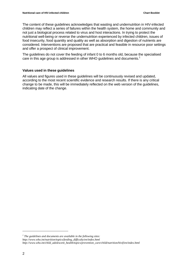The content of these guidelines acknowledges that wasting and undernutrition in HIV-infected children may reflect a series of failures within the health system, the home and community and not just a biological process related to virus and host interactions. In trying to protect the nutritional well-being or reverse the undernutrition experienced by infected children, issues of food insecurity, food quantity and quality as well as absorption and digestion of nutrients are considered. Interventions are proposed that are practical and feasible in resource poor settings and offer a prospect of clinical improvement.

The guidelines do not cover the feeding of infant 0 to 6 months old, because the specialised care in this age group is addressed in other WHO guidelines and documents.<sup>1</sup>

### **Values used in these guidelines**

All values and figures used in these guidelines will be continuously revised and updated, according to the most recent scientific evidence and research results. If there is any critical change to be made, this will be immediately reflected on the web version of the guidelines, indicating date of the change.

<sup>1</sup> The guidelines and documents are available in the following sites:

*http://www.who.int/nutrition/topics/feeding\_difficulty/en/index.html* 

 $\overline{a}$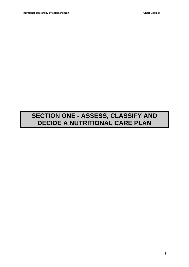### **SECTION ONE - ASSESS, CLASSIFY AND DECIDE A NUTRITIONAL CARE PLAN**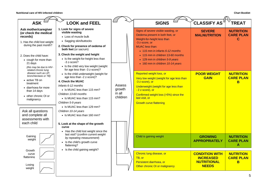| <b>ASK</b>                                                                                                                                                                                                                                                     | <b>LOOK and FEEL</b>                                                                                                                                                                                                                                                                                                                                                                                        |                                        | <b>SIGNS</b>                                                                                                                                                                                                                                       | <b>CLASSIFY AS</b>                                                              | <b>TREAT</b>                              |
|----------------------------------------------------------------------------------------------------------------------------------------------------------------------------------------------------------------------------------------------------------------|-------------------------------------------------------------------------------------------------------------------------------------------------------------------------------------------------------------------------------------------------------------------------------------------------------------------------------------------------------------------------------------------------------------|----------------------------------------|----------------------------------------------------------------------------------------------------------------------------------------------------------------------------------------------------------------------------------------------------|---------------------------------------------------------------------------------|-------------------------------------------|
| Ask mother/caregiver<br>(or check the medical<br>records)<br>1. Has the child lost weight<br>during the past month?                                                                                                                                            | 1. Look for signs of severe<br>visible wasting<br>• Loss of muscle bulk<br>• Sagging skin/buttocks<br>2. Check for presence of oedema of<br>both feet (or sacrum)                                                                                                                                                                                                                                           |                                        | Signs of severe visible wasting, or<br>Oedema present in both feet, or<br>Weight-for-height less than<br>-3 z-score, or<br><b>MUAC</b> less than:<br>$\bullet$ 115 mm in infants 6-12 months                                                       | <b>SEVERE</b><br><b>MALNUTRITION</b>                                            | <b>NUTRITION</b><br><b>CARE PLAN</b><br>C |
| 2. Does the child have:<br>• cough for more than<br>21 days<br>(this may be due to HIV-                                                                                                                                                                        | 3. Check the weight and height<br>• Is the weight-for-height less than<br>$-3z$ -score?<br>• Is the child very low weight (weight<br>for age less than -3 z-score)?                                                                                                                                                                                                                                         |                                        | • 115 mm in children 13-60 months<br>• 129 mm in children 5-9 years<br>• 160 mm in children 10-14 years                                                                                                                                            |                                                                                 |                                           |
| related chronic lung<br>disease such as LIP.<br>bronchiectasis or TB)<br>• active TB on<br>treatment<br>· diarrhoea for more<br>than 14 days<br>• other chronic OI or<br>malignancy<br>Ask all questions<br>and complete all<br>assessments with<br>each child | • Is the child underweight (weight for<br>age less than -2 z-score)?<br>4. Check the MUAC<br>Infants 6-12 months<br>• Is MUAC less than 115 mm?<br>Children 13-60 months<br>• Is MUAC less than 115 mm?<br>Children 5-9 years<br>• Is MUAC less than 129 mm?<br>Children 10-14 years<br>• Is MUAC less than 160 mm?<br>5. Look at the shape of the growth<br>curve<br>• Has the child lost weight since the | Assess<br>growth<br>in all<br>children | Reported weight loss, or<br>Very low weight (weight for age less than<br>-3 z-score), or<br>Underweight (weight for age less than<br>- 2 z-score), or<br>Confirmed weight loss (>5%) since the<br>last visit, or<br><b>Growth curve flattening</b> | <b>POOR WEIGHT</b><br><b>GAIN</b>                                               | <b>NUTRITION</b><br><b>CARE PLAN</b><br>B |
| Gaining<br>weight                                                                                                                                                                                                                                              | last visit? (confirm current weight<br>by repeating measurement)<br>• Is the child's growth curve<br>flattening?<br>• Is the child gaining weight?                                                                                                                                                                                                                                                          |                                        | Child is gaining weight                                                                                                                                                                                                                            | <b>GROWING</b><br><b>APPROPRIATELY</b>                                          | <b>NUTRITION</b><br><b>CARE PLAN</b><br>A |
| Growth<br>curve<br>flattening<br>Losing<br>weight                                                                                                                                                                                                              |                                                                                                                                                                                                                                                                                                                                                                                                             |                                        | Chronic lung disease, or<br>TB, or<br>Persistent diarrhoea, or<br>Other chronic OI or malignancy                                                                                                                                                   | <b>CONDITION WITH</b><br><b>INCREASED</b><br><b>NUTRITIONAL</b><br><b>NEEDS</b> | <b>NUTRITION</b><br><b>CARE PLAN</b><br>B |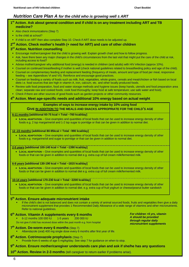*For children >5 yrs, vitamin A should be provided through regular daily micronutrient supplements* 

### *Nutrition Care Plan A for the child who is growing well ± ART*

### **1st Action. Ask about general condition and if child is on any treatment including ART and TB medicine?**

- Also check immunizations (Step 7)
- Is the child at school?
- If child is on ART then also complete Step 10. Check if ART dose needs to be adjusted up.

### 2<sup>nd</sup> Action. Check mother's health (+ need for ART) and care of other children

### $3<sup>rd</sup>$  Action. Nutrition counselling

- Encourage mother/caregiver that the child is growing well. Explain growth chart and how to follow progress.
- Ask, have there been any major changes in the child's circumstances from the last visit that might put the care of the child at risk, including access to food?
- Advise mother/caregiver why additional food (energy) is needed in children (and adults) with HIV infection (approx 10%).
- Counsel on continued breastfeeding if mother is well (check national guidelines related to breastfeeding policy and age of the child).
- Counsel on complementary feeding and replacement feeding (frequency of meals, amount and type of food per meal, responsive feeding – see Appendices VI and VII). Reinforce and encourage good practices.
- Counsel on feeding a variety of foods such as milk, fruit, vegetables, whole grains, cereals and meat/chicken or fish based on local diets i.e. food sources that are high in vitamin A, iron, calcium, etc. and other locally produced foods.
- Review safe food preparation, food and water storage methods and hygiene issues (keep hands, utensils and food preparation area clean; separate raw and cooked foods; cook food thoroughly; keep food at safe temperature; use safe water and food).
- Check if there are other sources of good foods such as garden projects or other community resources.

### **4th Action. Meet age-specific needs and additional 10% energy based on actual weight**

### **Examples of ways to increase energy intake by 10% using food GIVE IN ADDITION TO THE MEALS AND SNACKS APPROPRIATE FOR THE CHILD'S AGE**

#### **6-11 months [additional 60-75 kcal = Total ~760 kcal/day]**

• **LOCAL ADAPTATION** – Give examples and quantities of local foods that can be used to increase energy density of other foods e.g. 2 tsp margarine/oil and 1-2 tsp sugar to porridge or that can be given in addition to normal diet.

#### **12 -23 months [additional 80-95kcal = Total ~990 kcal/day]**

• Local ADAPTATION – Give examples and quantities of local foods that can be used to increase energy density of other foods e.g. margarine/oil and sugar to porridge or that can be given in addition to normal diet.

### **2-5 years [additional 100-140 kcal = Total ~1390 kcal/day]**

• **LOCAL ADAPTATION** – Give examples and quantities of local foods that can be used to increase energy density of other foods or that can be given in addition to normal diet e.g. extra cup of full cream milk/fermented milk.

#### **6-9 years [additional 130-190 kcal = Total ~1815 kcal/day]**

• Local ADAPTATION – Give examples and quantities of local foods that can be used to increase energy density of other foods or that can be given in addition to normal diet e.g. extra cup of full cream milk/fermented milk.

#### **10-14 years [additional 170-230 kcal = Total ~2200 kcal/day]**

• **LOCAL ADAPTATION** – Give examples and quantities of local foods that can be used to increase energy density of other foods or that can be given in addition to normal diet. e.g. extra cup of fruit yoghurt or cheese/peanut butter sandwich

### **5th Action. Ensure adequate micronutrient intake**

 If the child's diet is not balanced and does not contain a variety of animal sourced foods, fruits and vegetables then give a daily micronutrient supplement that provides 1 Recommended Daily Allowance of a wide range of vitamins and other micronutrients. Refer to national guidelines.

### **6th Action. Vitamin A supplements every 6 months**

- 6-12 months 100 000 IU 1-5 years 200 000 IU
- Do not give if child has received dose within the past month e.g. from hospital

### 7<sup>th</sup> Action. De-worm every 6 months (Step 7)

Albendazole (oral) 400 mg single dose every 6 months after first year of life.

### **8th Action. Cotrimoxazole prophylaxis** (Step 7)

Provide from 6 weeks of age 5 mg/kg/day. See step 7 for guidance on when to stop.

### **9th Action. Ensure mother/caregiver understands care plan and ask if she/he has any questions**

**10<sup>th</sup> Action. Review in 2-3 months** (tell caregiver to return earlier if problems arise).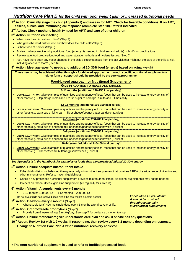### *Nutrition Care Plan B for the child with poor weight gain or increased nutritional needs*

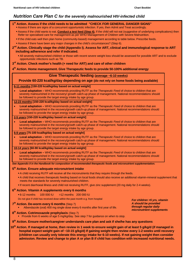### *Nutrition Care Plan C for the severely malnourished HIV-infected child*

1<sup>st</sup> Action. Assess if the child needs to be admitted "CHECK FOR GENERAL DANGER SIGNS" Assess if there are signs of a concurrent opportunistic infection. If yes, then Admit and Treat accordingly. Assess if the child wants to eat. **Conduct a test feed (Step 4).** If the child will not eat (suggestive of underlying complications) then Refer tor specialised care for management as per WHO Management of Children with Severe Malnutrition. If the child eats well then plan home (community-based) management according to table below. Prescribe feeds. Assess if there have been any major changes in the child's circumstances? (Step 6). 2<sup>nd</sup> Action. Clinically stage the child (Appendix I). Assess for ART, clinical and immunological response to ART **including adherence and refer if indicated.**  • All severely malnourished children or those with recent severe weight loss should be assessed for possible ART and to exclude opportunistic infections such as TB.  $3<sup>rd</sup>$  Action. Check mother's health (+ need for ART) and care of other children **4th Action. Home management. Give Therapeutic feeds to provide 50-100% additional energy Give Therapeutic feeding (average ~6-10 weeks) Provide 60-220 kcal/kg/day depending on age (do not rely on home foods being available) 6-11 months [150-220 kcal/kg/day based on actual weight]**  • **Local adaptation –** WHO recommends providing RUTF as the *Therapeutic Feed* of choice to children that are severely malnourished in the recovery/ growth catch-up phase of management. National recommendations should be followed to provide the target energy intake by age group. **12-23 months [150-220 kcal/kg/day based on actual weight]** • **Local adaptation –** WHO recommends providing RUTF as the *Therapeutic Feed* of choice to children that are severely malnourished in the recovery/growth catch-up phase of management. National recommendations should be followed to provide the target energy intake by age group. **2-5 years [150-220 kcal/kg/day based on actual weight]**  • **Local adaptation –** WHO recommends providing RUTF as the *Therapeutic Feed* of choice to children that are severely malnourished in the recovery/growth catch-up phase of management. National recommendations should be followed to provide the target energy intake by age group. **6-9 years [75-100 kcal/kg/day based on actual weight]** • **Local adaptation –** WHO recommends providing RUTF as the *Therapeutic Feed* of choice to children that are severely malnourished in the recovery/growth catch-up phase of management. National recommendations should be followed to provide the target energy intake by age group. **10-14 years [60-90 kcal/kg/day based on actual weight]**  • **Local adaptation –** WHO recommends providing RUTF as the *Therapeutic Feed* of choice to children that are severely malnourished in the recovery/growth catch-up phase of management. National recommendations should be followed to provide the target energy intake by age group. *See Appendix II in the Handbook for composition of recommended therapeutic foods and micronutrient supplementation.*  $5<sup>th</sup>$  Action. Ensure adequate micronutrient intake A child receiving RUTF will receive all the micronutrients that they require through the feeds. A child that receives therapeutic feeding based on local foods should also receive an additional vitamin-mineral supplement that meets the standards for severely malnourished children. If recent diarrhoeal illness and child not receiving RUTF, give zinc supplement (20 mg daily for 2-4 weeks).  $6<sup>th</sup>$  Action. Vitamin A supplements every 6 months 6-12 months 100 000 IU >12 months 200 000 IU Do not give if child has received dose within the past month e.g. from hospital 7<sup>th</sup> Action. De-worm every 6 months (Step 7) Albendazole (oral) 400 mg single dose every 6 months after first year of life. **8th Action. Cotrimoxazole prophylaxis** (Step 7) Provide from 6 weeks of age 5 mg/kg/day. See step 7 for guidance on when to stop. **9th Action. Ensure mother/caregiver understands care plan and ask if she/he has any questions**  10<sup>th</sup> Action. If managed at home, then review in 1 week to ensure weight gain of at least 5 g/kg/d (if managed in **hospital expect weight gain of ~10-15 g/kg/d) If gaining weight then review every 1-2 weeks until recovery (children can usually only tolerate this energy intake for 6-10 weeks). If not gaining weight then consider admission. Review and change to plan A or plan B if child has condition with increased nutritional needs.** *For children >5 yrs, vitamin A should be provided through regular daily micronutrient supplements*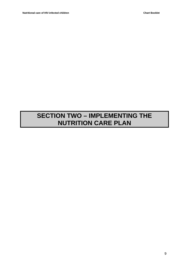### **SECTION TWO – IMPLEMENTING THE NUTRITION CARE PLAN**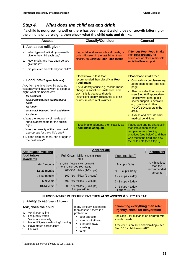### *Step 4. What does the child eat and drink*

**If a child is not growing well or there has been recent weight loss or growth faltering or the child is underweight, then check what the child eats and drinks.**

| <b>Assess</b>                                                                                                                                                                                                                                                                                                         | <b>Classify/Consider</b>                                                                                                                                                                                                                                                                     | Counsel                                                                                                                                                                                                                                                                                                                                     |
|-----------------------------------------------------------------------------------------------------------------------------------------------------------------------------------------------------------------------------------------------------------------------------------------------------------------------|----------------------------------------------------------------------------------------------------------------------------------------------------------------------------------------------------------------------------------------------------------------------------------------------|---------------------------------------------------------------------------------------------------------------------------------------------------------------------------------------------------------------------------------------------------------------------------------------------------------------------------------------------|
| 1. Ask about milk given                                                                                                                                                                                                                                                                                               |                                                                                                                                                                                                                                                                                              |                                                                                                                                                                                                                                                                                                                                             |
| What types of milk do you usually<br>a.<br>give to the child each day?                                                                                                                                                                                                                                                | If no solid food eaten in last 4 meals, or<br>only milk taken in the last 24hrs, then                                                                                                                                                                                                        | If Serious Poor Food Intake<br>then refer urgently for<br>admission or other immediate                                                                                                                                                                                                                                                      |
| How much, and how often do you<br>b.<br>give these?                                                                                                                                                                                                                                                                   | classify as Serious Poor Food Intake                                                                                                                                                                                                                                                         | social/welfare support.                                                                                                                                                                                                                                                                                                                     |
| Do you ever breastfeed your child?<br>c.                                                                                                                                                                                                                                                                              |                                                                                                                                                                                                                                                                                              |                                                                                                                                                                                                                                                                                                                                             |
| 2. Food intake (past 24 hours)<br>Ask, from the time the child woke up<br>yesterday until he/she went to sleep at<br>night, what did he/she eat:<br>for breakfast<br>as a snack between breakfast and<br>lunch<br>for lunch<br>as a snack between lunch and dinner<br>for dinner<br>a. Was the frequency of meals and | If food intake is less than<br>recommended then classify as <b>Poor</b><br>Food intake.<br>Try to identify cause e.g. recent illness,<br>change in social circumstances, and<br>ask if this is because there is<br>insufficient supply, reluctance to drink<br>or unsure of correct volumes. | If Poor Food intake then<br>• Counsel on complementary/<br>appropriate feeds (see next<br>page).<br>• Also consider Food support<br>(see Step 6) if appropriate<br>(check what other public<br>sector support is available<br>e.g. grants and other<br>NGO/CBO support in the<br>area.<br>• Assess and exclude other<br>medical conditions. |
| snacks appropriate for the child's<br>age?<br>b. Was the quantity of the main meal<br>appropriate for the child's age?<br>c. Did the child eat meat, fish or eggs in<br>the past week?                                                                                                                                | If food intake adequate then classify as<br>Food intake adequate.                                                                                                                                                                                                                            | If adequate and no changes in<br>food intake then assess<br>complementary feeding<br>practices (see below) and then<br>who feeds the child and how<br>the child eats (see Step 5).                                                                                                                                                          |

| Age-related milk and     | <b>Appropriate</b>                                                 |                                             | <b>Insufficient</b>       |
|--------------------------|--------------------------------------------------------------------|---------------------------------------------|---------------------------|
| food intake<br>standards | Full Cream Milk (incl. fermented<br>milks)                         | Food (cooked) <sup>•</sup>                  |                           |
| 6-11 months              | If BF, then frequently/on demand<br>If not BF, then 200-500 ml/day | $\frac{1}{2}$ cup x 4/day                   | Anything less<br>than the |
| $12 - 23$ months         | 200-500 ml/day (1-2 cups)                                          | $\frac{3}{4}$ - 1 cup x 4/day               | recommended<br>amounts    |
| 24-59 months             | 500-750 ml/day (2-3 cups)                                          | 1 - 2 cups $\times$ 4/day                   |                           |
| $6 - 9$ years            | 500-750 ml/day (2-3 cups)                                          | $2 - 3$ cups x $3$ /day                     |                           |
| 10-14 years              | 500-750 ml/day (2-3 cups)<br>1 $cup = 240$ ml                      | $2 - 3$ cups x $3$ /day<br>1 $cup = 240$ ml |                           |

### **IF FOOD INTAKE IS INSUFFICIENT THEN ALSO ASSESS ABILITY TO EAT**

| 3. Ability to eat (past 48 hours)                                                                                                                                  |                                                                                                |                                                                                                                                        |
|--------------------------------------------------------------------------------------------------------------------------------------------------------------------|------------------------------------------------------------------------------------------------|----------------------------------------------------------------------------------------------------------------------------------------|
| Ask, does the child                                                                                                                                                | If any difficulty is identified<br>then assess if there is a                                   | If vomiting everything then refer<br>urgently, check for dehydration                                                                   |
| Vomit everything<br>a.<br>b. Frequently vomit<br>Vomit occasionally<br>C.<br>d. Have difficulty swallowing/chewing<br>e. Have mouth sores/ulcers<br>f.<br>Eat well | problem of<br>poor appetite<br>• sore mouth/throat<br>• change in taste<br>• vomiting<br>other | See Step 9 for guidance on children with<br>specific needs<br>If the child is on ART and vomiting - see<br>Step 10 for children on ART |

•  *Assuming an energy density of 0.8-1 kcal/g.* 

-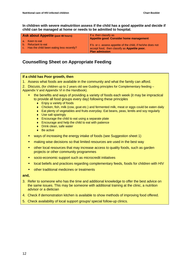**In children with severe malnutrition assess if the child has a good appetite and decide if child can be managed at home or needs to be admitted to hospital.**

| Ask about Appetite (past 48 hours)          | If a. then classify as<br>Appetite good. Consider home management |
|---------------------------------------------|-------------------------------------------------------------------|
| a. Keen to eat                              | If b. or c. assess appetite of the child, if he/she does not      |
| b. Reluctant to eat                         | accept food, then classify as Appetite poor.                      |
| c. Has the child been eating less recently? | <b>Plan admission</b>                                             |

### **Counselling Sheet on Appropriate Feeding**

### **If a child has Poor growth, then**

1. Assess what foods are available in the community and what the family can afford.

2. Discuss, (for children up to 2 years old see Guiding principles for Complementary feeding – Appendix V and Appendix VI in the Handbook).

- the benefits and ways of providing a variety of foods each week (it may be impractical to provide all food groups every day) following these principles
	- ♦ Enjoy a variety of foods
	- ♦ Chicken, fish, milk (cow, goat etc.) and fermented milk, meat or eggs could be eaten daily
	- ♦ Eat plenty of vegetables and fruits everyday. Eat beans, peas, lentils and soy regularly
	- ♦ Use salt sparingly
	- ♦ Encourage the child to eat using a separate plate
	- ♦ Encourage and help the child to eat with patience
	- ◆ Drink clean, safe water
	- ◆ Be active
- ways of increasing the energy intake of foods (see Suggestion sheet 1)
- **numaries in the set of the state of the set of the set in the best way**
- other local resources that may increase access to quality foods, such as garden projects or other community programmes
- **socio-economic support such as microcredit initiatives**
- **EXEDENT IS and practices regarding complementary feeds, foods for children with HIV**
- **•** other traditional medicines or treatments

#### **and,**

- 3. Refer to someone who has the time and additional knowledge to offer the best advice on the same issues. This may be someone with additional training at the clinic, a nutrition advisor or a dietician
- 4. Check if demonstration kitchen is available to show methods of improving food offered.
- 5. Check availability of local support groups/ special follow-up clinics.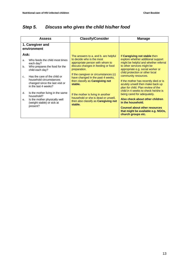### *Step 5. Discuss who gives the child his/her food*

| <b>Assess</b>                                                                                                                                                                                                                                                                                                                                                                                             | <b>Classify/Consider</b>                                                                                                                                                                                                                                                                                                                                                                                                             | <b>Manage</b>                                                                                                                                                                                                                                                                                                                                                                                                                                                                                                                                                                                   |
|-----------------------------------------------------------------------------------------------------------------------------------------------------------------------------------------------------------------------------------------------------------------------------------------------------------------------------------------------------------------------------------------------------------|--------------------------------------------------------------------------------------------------------------------------------------------------------------------------------------------------------------------------------------------------------------------------------------------------------------------------------------------------------------------------------------------------------------------------------------|-------------------------------------------------------------------------------------------------------------------------------------------------------------------------------------------------------------------------------------------------------------------------------------------------------------------------------------------------------------------------------------------------------------------------------------------------------------------------------------------------------------------------------------------------------------------------------------------------|
| 1. Caregiver and<br>environment                                                                                                                                                                                                                                                                                                                                                                           |                                                                                                                                                                                                                                                                                                                                                                                                                                      |                                                                                                                                                                                                                                                                                                                                                                                                                                                                                                                                                                                                 |
| Ask:<br>Who feeds the child most times<br>a <sub>1</sub><br>each day?<br>Who prepares the food for the<br>b.<br>child each day?<br>Has the care of the child or<br>$C_{1}$<br>household circumstances<br>changed since the last visit or<br>in the last 4 weeks?<br>Is the mother living in the same<br>d.<br>household?<br>Is the mother physically well<br>е.<br>(weight stable) or sick at<br>present? | The answers to a. and b. are helpful<br>to decide who is the most<br>appropriate person with whom to<br>discuss changes in feeding or food<br>preparation.<br>If the caregiver or circumstances (c)<br>have changed in the past 4 weeks,<br>then classify as <b>Caregiving not</b><br>stable.<br>If the mother is living in another<br>household or she is dead or unwell,<br>then also classify as <b>Caregiving not</b><br>stable. | If Caregiving not stable then<br>explore whether additional support<br>might be helpful and whether referral<br>to other services might be<br>appropriate e.g. social worker or<br>child protection or other local<br>community resources.<br>If the mother has recently died or is<br>acutely unwell then make back up<br>plan for child. Plan review of the<br>child in 4 weeks to check he/she is<br>being cared for adequately.<br>Also check about other children<br>in the household.<br><b>Counsel about other resources</b><br>that might be available e.g. NGOs,<br>church groups etc. |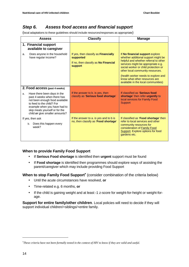### *Step 6. Assess food access and financial support*

(local adaptations to these guidelines should include resources/responses as appropriate)

| <b>Assess</b>                                                                                                                                                                                                                       | <b>Classify</b>                                                                                                    | <b>Manage</b>                                                                                                                                                                                                                                                                                                                                    |
|-------------------------------------------------------------------------------------------------------------------------------------------------------------------------------------------------------------------------------------|--------------------------------------------------------------------------------------------------------------------|--------------------------------------------------------------------------------------------------------------------------------------------------------------------------------------------------------------------------------------------------------------------------------------------------------------------------------------------------|
| 1. Financial support<br>available to caregiver                                                                                                                                                                                      |                                                                                                                    |                                                                                                                                                                                                                                                                                                                                                  |
| Does anyone in the household<br>a.<br>have regular income?                                                                                                                                                                          | If yes, then classify as <b>Financially</b><br>supported<br>If no, then classify as No Financial<br><b>support</b> | If No financial support explore<br>whether additional support might be<br>helpful and whether referral to other<br>services might be appropriate e.g.<br>social worker or child protection or<br>other local community resources.<br>(health worker needs to explore and<br>know what other resources are<br>available in the local communities) |
| 2. Food access (past 4 weeks)                                                                                                                                                                                                       |                                                                                                                    |                                                                                                                                                                                                                                                                                                                                                  |
| Have there been days in the<br>a.<br>past 4 weeks when there has<br>not been enough food available<br>to feed to the child? For<br>example when you have had to<br>skip meals yourself or for the<br>child or give smaller amounts? | If the answer to b. is yes, then<br>classify as 'Serious food shortage'                                            | If classified as 'Serious food<br>shortage' then refer urgently to<br>local services for Family Food<br>Support                                                                                                                                                                                                                                  |
| If yes, then ask                                                                                                                                                                                                                    | If the answer to a. is yes and to b is                                                                             | If classified as 'Food shortage' then                                                                                                                                                                                                                                                                                                            |
| Does this happen every<br>b.<br>week?                                                                                                                                                                                               | no, then classify as 'Food shortage'                                                                               | refer to local services and other<br>community resources for<br>consideration of Family Food<br>Support. Explore options for food<br>gardens etc.                                                                                                                                                                                                |

### **When to provide Family Food Support**

- If **Serious Food shortage** is identified then **urgent** support must be found
- If **Food shortage** is identified then programmes should explore ways of assisting the parent/caregiver which may include providing Food Support

**When to stop Family Food Support<sup>\*</sup>** (consider combination of the criteria below)

- Until the acute circumstances have resolved, **or**
- Time-related e.g. 6 months, **or**
- If the child is gaining weight and at least -1 z-score for weight-for-height or weight-forage.

**Support for entire family/other children**. Local policies will need to decide if they will support individual children/+siblings/+entire family.

-

<sup>∗</sup> *These criteria have not been formally tested in the context of HIV to know if they are valid and useful.*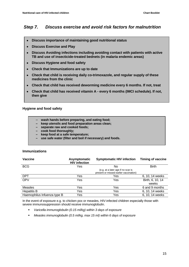### *Step 7. Discuss exercise and avoid risk factors for malnutrition*

- • **Discuss importance of maintaining good nutritional status**
- • **Discuss Exercise and Play**
- • **Discuss Avoiding infections including avoiding contact with patients with active TB and use of insecticide-treated bednets (in malaria endemic areas)**
- • **Discuss Hygiene and food safety**
- • **Check that Immunizations are up to date**
- • **Check that child is receiving daily co-trimoxazole, and regular supply of these medicines from the clinic**
- • **Check that child has received deworming medicine every 6 months. If not, treat**
- • **Check that child has received vitamin A every 6 months (IMCI schedule). If not, then give**

### **Hygiene and food safety**

- **wash hands before preparing, and eating food;**
- **keep utensils and food preparation areas clean;**
- **separate raw and cooked foods;**
- **cook food thoroughly;**
- **keep food at a safe temperature;**
- **use safe water (filter and boil if necessary) and foods.**

### **Immunizations**

| Vaccine                     | Asymptomatic<br><b>HIV infection</b> | <b>Symptomatic HIV infection</b>                                             | <b>Timing of vaccine</b> |
|-----------------------------|--------------------------------------|------------------------------------------------------------------------------|--------------------------|
| <b>BCG</b>                  | Yes                                  | No                                                                           | <b>Birth</b>             |
|                             |                                      | (e.g. at a later age if no scar is<br>present or missed earlier vaccination) |                          |
| <b>DPT</b>                  | Yes                                  | Yes                                                                          | 6, 10, 14 weeks          |
| <b>OPV</b>                  | Yes                                  | Yes                                                                          | Birth, 6, 10, 14         |
|                             |                                      |                                                                              | weeks                    |
| <b>Measles</b>              | Yes                                  | Yes                                                                          | 6 and 9 months           |
| <b>Hepatitis B</b>          | Yes                                  | Yes                                                                          | 6, 10, 14 weeks          |
| Haemophilus Infuenza type B | Yes                                  | Yes                                                                          | 6, 10, 14 weeks          |

In the event of exposure e.g. to chicken pox or measles, HIV-infected children especially those with severe immunosuppression should receive immunoglobulin.

- *Varicella immunoglobulin (0.15 ml/kg) within 3 days of exposure*
- *Measles immunoglobulin (0.5 ml/kg, max 15 ml) within 6 days of exposure*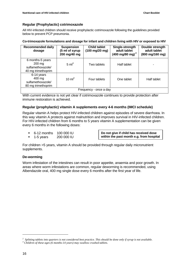### **Regular (Prophylactic) cotrimoxazole**

All HIV-infected children should receive prophylactic cotrimoxazole following the guidelines provided below to prevent PCP pneumonia.

**Co-trimoxazole formulations and dosage for infant and children living with HIV or exposed to HIV**

| <b>Recommended daily</b><br>dosage                                              | <b>Suspension</b><br>(5 ml of syrup<br>200 mg/40 mg | Child tablet<br>$(100 \text{ mg}/20 \text{ mg})$ | Single-strength<br>adult tablet<br>(400 mg/80 mg) <sup>2</sup> | Double strength<br>adult tablet<br>(800 mg/160 mg) |
|---------------------------------------------------------------------------------|-----------------------------------------------------|--------------------------------------------------|----------------------------------------------------------------|----------------------------------------------------|
| 6 months-5 years<br>$200 \text{ mg}$<br>sulfamethoxazole/<br>40 mg trimethoprim | $5 \text{ ml}^3$                                    | Two tablets                                      | Half tablet                                                    |                                                    |
| 6-14 years<br>400 mg<br>sulfamethoxazole/<br>80 mg trimethoprim                 | $10 \text{ ml}^3$                                   | Four tablets                                     | One tablet                                                     | Half tablet                                        |
|                                                                                 |                                                     | Frequency - once a day                           |                                                                |                                                    |

With current evidence is not yet clear if cotrimoxazole continues to provide protection after immune restoration is achieved.

### **Regular (prophylactic) vitamin A supplements every 4-6 months (IMCI schedule)**

Regular vitamin A helps protect HIV-infected children against episodes of severe diarrhoea. In this way vitamin A protects against malnutrition and improves survival in HIV-infected children. For HIV-infected children from 6 months to 5 years vitamin A supplementation can be given every 6 months in the following doses:

- 6-12 months 100 000 IU
- 1-5 years 200 000 IU

**Do not give if child has received dose within the past month e.g. from hospital**

For children >5 years, vitamin A should be provided through regular daily micronutrient supplements.

### **De-worming**

Worm infestation of the intestines can result in poor appetite, anaemia and poor growth. In areas where worm infestations are common, regular deworming is recommended, using Albendazole oral, 400 mg single dose every 6 months after the first year of life.

-

<sup>&</sup>lt;sup>2</sup> Splitting tablets into quarters is not considered best practice. This should be done only if syrup is not available.<br><sup>3</sup> Children of these gase (6 months 14 years) way swallow swebed tablets.

*Children of these ages (6 months-14 years) may swallow crushed tablets.*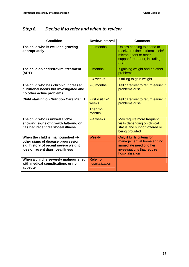### *Step 8. Decide if to refer and when to review*

| <b>Condition</b>                                                                                                                                     | <b>Review interval</b>                           | <b>Comment</b>                                                                                                                         |
|------------------------------------------------------------------------------------------------------------------------------------------------------|--------------------------------------------------|----------------------------------------------------------------------------------------------------------------------------------------|
| The child who is well and growing<br>appropriately                                                                                                   | 2-3 months                                       | Unless needing to attend to<br>receive routine cotrimoxazole/<br>micronutrient or other<br>support/treatment, including<br><b>ART</b>  |
| The child on antiretroviral treatment<br>(ART)                                                                                                       | 3 months                                         | If gaining weight and no other<br>problems                                                                                             |
|                                                                                                                                                      | 2-4 weeks                                        | If failing to gain weight                                                                                                              |
| The child who has chronic increased<br>nutritional needs but investigated and<br>no other active problems                                            | 2-3 months                                       | Tell caregiver to return earlier if<br>problems arise                                                                                  |
| <b>Child starting on Nutrition Care Plan B</b>                                                                                                       | First visit 1-2<br>weeks<br>Then $1-2$<br>months | Tell caregiver to return earlier if<br>problems arise                                                                                  |
| The child who is unwell and/or<br>showing signs of growth faltering or<br>has had recent diarrhoeal illness                                          | 2-4 weeks                                        | May require more frequent<br>visits depending on clinical<br>status and support offered or<br>being provided                           |
| When the child is malnourished +/-<br>other signs of disease progression<br>e.g. history of recent severe weight<br>loss or recent diarrhoea illness | <b>Weekly</b>                                    | Only if fulfils criteria for<br>management at home and no<br>immediate need of other<br>investigations that require<br>hospitalisation |
| When a child is severely malnourished<br>with medical complications or no<br>appetite                                                                | <b>Refer for</b><br>hospitalization              |                                                                                                                                        |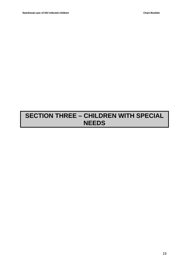### **SECTION THREE – CHILDREN WITH SPECIAL NEEDS**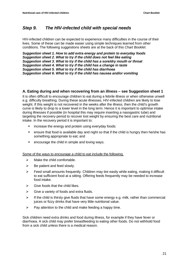### *Step 9. The HIV-infected child with special needs*

HIV-infected children can be expected to experience many difficulties in the course of their lives. Some of these can be made easier using simple techniques learned from other conditions. The following suggestions sheets are at the back of this *Chart Booklet*.

*Suggestion sheet 1. How to add extra energy and protein to everyday foods Suggestion sheet 2. What to try if the child does not feel like eating Suggestion sheet 3. What to try if the child has a sore/dry mouth or throat Suggestion sheet 4. What to try if the child has a change in taste Suggestion sheet 5. What to try if the child has diarrhoea Suggestion sheet 6. What to try if the child has nausea and/or vomiting* 

### **A. Eating during and when recovering from an illness – see Suggestion sheet 1**

It is often difficult to encourage children to eat during a febrile illness or when otherwise unwell e.g. difficulty breathing. During these acute illnesses, HIV-infected children are likely to lose weight. If this weight is not recovered in the weeks after the illness, then the child's growth curve is likely to drop to a lower level in the long term. Hence it is important to optimise intake during illnesses if possible (in hospital this may require inserting a nasogastric tube) and targeting the recovery period to recover lost weight by ensuring the best care and nutritional intake. In the recovery period it is important to:

- **EXEDENT** increase the energy and protein using everyday foods:
- ensure that food is available day and night so that if the child is hungry then he/she has something appropriate to eat; and
- **EXECOUTE:** encourage the child in simple and loving ways.

Some of the ways to encourage a child to eat include the following.

- $\triangleright$  Make the child comfortable.
- $\triangleright$  Be patient and feed slowly.
- $\triangleright$  Feed small amounts frequently. Children may tire easily while eating, making it difficult to eat sufficient food at a sitting. Offering feeds frequently may be needed to increase food intake.
- $\triangleright$  Give foods that the child likes.
- $\triangleright$  Give a variety of foods and extra fluids.
- $\triangleright$  If the child is thirsty give fluids that have some energy e.g. milk, rather than commercial juices or fizzy drinks that have very little nutritional value.
- $\triangleright$  Pay attention to the child and make feeding a happy time.

Sick children need extra drinks and food during illness, for example if they have fever or diarrhoea. A sick child may prefer breastfeeding to eating other foods. Do not withhold food from a sick child unless there is a medical reason.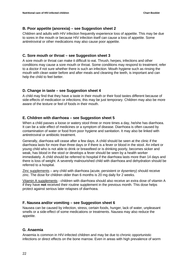### **B. Poor appetite (anorexia) – see Suggestion sheet 2**

Children and adults with HIV infection frequently experience loss of appetite. This may be due to sores in the mouth or because HIV infection itself can cause a loss of appetite. Some antiretroviral or other medications may also cause poor appetite.

### **C. Sore mouth or throat – see Suggestion sheet 3**

A sore mouth or throat can make it difficult to eat. Thrush, herpes, infections and other conditions may cause a sore mouth or throat. Some conditions may respond to treatment; refer to a doctor if not sure whether there is such an infection. Mouth hygiene such as rinsing the mouth with clean water before and after meals and cleaning the teeth, is important and can help the child to feel better.

### **D. Change in taste – see Suggestion sheet 4**

A child may find that they have a taste in their mouth or their food tastes different because of side-effects of medication or infections; this may be just temporary. Children may also be more aware of the texture or feel of foods in their mouth.

### **E. Children with diarrhoea – see Suggestion sheet 5**

When a child passes a loose or watery stool three or more times a day, he/she has diarrhoea. It can be a side effect of medicines or a symptom of disease. Diarrhoea is often caused by contamination of water or food from poor hygiene and sanitation. It may also be linked with antiretroviral or antibiotic treatment.

Generally, diarrhoea will cease after a few days. A child should be seen at the clinic if the diarrhoea lasts for more than three days or if there is a fever or blood in the stool. An infant or young child who is not able to drink or breastfeed or is drinking poorly, becomes sicker and weak, has blood in the stool or develops a fever should be seen by a health worker immediately. A child should be referred to hospital if the diarrhoea lasts more than 14 days and there is loss of weight. A severely malnourished child with diarrhoea and dehydration should be referred to a hospital.

Zinc supplements - any child with diarrhoea (acute, persistent or dysentery) should receive zinc. The dose for children older than 6 months is 20 mg daily for 2 weeks.

Vitamin A supplements - children with diarrhoea should also receive an extra dose of vitamin A if they have **not** received their routine supplement in the previous month. This dose helps protect against serious later relapses of diarrhoea.

### **F. Nausea and/or vomiting – see Suggestion sheet 6**

Nausea can be caused by infection, stress, certain foods, hunger, lack of water, unpleasant smells or a side-effect of some medications or treatments. Nausea may also reduce the appetite.

### **G. Anaemia**

Anaemia is common in HIV-infected children and may be due to chronic opportunistic infections or direct effects on the bone marrow. Even in areas with high prevalence of worm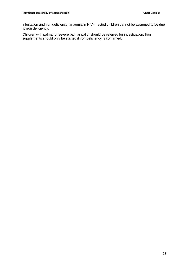infestation and iron deficiency, anaemia in HIV-infected children cannot be assumed to be due to iron deficiency.

Children with palmar or severe palmar pallor should be referred for investigation. Iron supplements should only be started if iron deficiency is confirmed.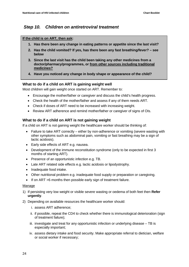### *Step 10. Children on antiretroviral treatment*

### **If the child is on ART, then ask:**

- **1. Has there been any change in eating patterns or appetite since the last visit?**
- **2. Has the child vomited? If yes, has there been any fast breathing/fever? see below**
- **3. Since the last visit has the child been taking any other medicines from a doctor/pharmacy/programmes, or from other sources including traditional medicines?**
- **4. Have you noticed any change in body shape or appearance of the child?**

### **What to do if a child on ART is gaining weight well**

Most children will gain weight once started on ART. Remember to:

- Encourage the mother/father or caregiver and discuss the child's health progress.
- Check the health of the mother/father and assess if any of them needs ART.
- Check if doses of ART need to be increased with increasing weight.
- Review ART adherence and remind mother/father or caregiver of signs of OIs.

### **What to do if a child on ART is not gaining weight**

If a child on ART is not gaining weight the healthcare worker should be thinking of:

- Failure to take ART correctly either by non-adherence or vomiting (severe wasting with other symptoms such as abdominal pain, vomiting or fast breathing may be a sign of lactic acidosis).
- Early side effects of ART e.g. nausea.
- Development of the immune reconstitution syndrome (only to be expected in first 3 months of starting ART).
- Presence of an opportunistic infection e.g. TB.
- Late ART related side effects e.g. lactic acidosis or lipodystrophy.
- Inadequate food intake.
- Other nutritional problem e.g. inadequate food supply or preparation or caregiving.
- If on ART >6 months then possible early sign of treatment failure.

### Manage

- 1) If persisting very low weight or visible severe wasting or oedema of both feet then **Refer urgently**.
- 2) Depending on available resources the healthcare worker should:
	- i. assess ART adherence;
	- ii. if possible, repeat the CD4 to check whether there is immunological deterioration (sign of treatment failure);
	- iii. investigate and treat for any opportunistic infection or underlying disease TB is especially important;
	- iv. assess dietary intake and food security. Make appropriate referral to dietician, welfare or social worker if necessary;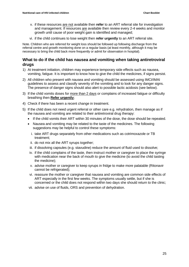- v. if these resources are not available then **refer** to an ART referral site for investigation and management. If resources are available then review every 2-4 weeks and monitor growth until cause of poor weight gain is identified and managed;
- vi. if the child continues to lose weight then **refer urgently** to an ART referral site.

Note. Children who are referred for weight loss should be followed up following discharge from the referral centre and growth monitoring done on a regular basis (at least monthly, although it may be necessary to bring the child back more frequently or admit for observation in hospital).

### **What to do if the child has nausea and vomiting when taking antiretroviral drugs**

- 1) At treatment initiation, children may experience temporary side effects such as nausea, vomiting, fatigue. It is important to know how to give the child the medicines, if signs persist.
- 2) All children who present with nausea and vomiting should be assessed using IMCI/IMAI guidelines to assess and classify severity of the vomiting and to look for any danger signs. The presence of danger signs should also alert to possible lactic acidosis (see below).
- 3) If the child vomits doses for more than 2 days or complains of increased fatigue or difficulty breathing then **Refer urgently**;
- 4) Check if there has been a recent change in treatment.
- 5) If the child does not need urgent referral or other care e.g. rehydration, then manage as if the nausea and vomiting are related to their antiretroviral drug therapy:
	- If the child vomits their ART within 30 minutes of the dose, the dose should be repeated.
	- Nausea and vomiting may be related to the taste of the medicines. The following suggestions may be helpful to control these symptoms:
		- i. take ART drugs separately from other medications such as cotrimoxazole or TB treatment;
		- ii. do not mix all the ART syrups together;
		- iii. if dissolving capsules (e.g. stavudine) reduce the amount of fluid used to dissolve;
	- iv. if the child complains of the taste, then instruct mother or caregiver to place the syringe with medication near the back of mouth to give the medicine (to avoid the child tasting the medicine);
	- v. advise mother or caregiver to keep syrups in fridge to make more palatable (Ritonavir cannot be refrigerated);
	- vi. reassure the mother or caregiver that nausea and vomiting are common side effects of ART especially in the first few weeks. The symptoms usually settle, but if she is concerned or the child does not respond within two days she should return to the clinic;
	- vii. advise on use of fluids, ORS and prevention of dehydration.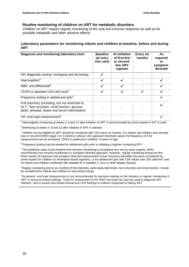### **Routine monitoring of children on ART for metabolic disorders**

Children on ART require regular monitoring of the viral and immune response as well as for possible metabolic and other adverse effects.

### **Laboratory parameters for monitoring infants and children at baseline, before and during ART**

| Diagnosis and monitoring laboratory tests                                                                                                                                      | Baseline<br>(at entry<br>into care) | At initiation<br>of first-line<br>or second-<br>line ARV<br>regimen | <b>Every six</b><br>months | <b>As</b><br>required<br>or<br>symptom-<br>directed |
|--------------------------------------------------------------------------------------------------------------------------------------------------------------------------------|-------------------------------------|---------------------------------------------------------------------|----------------------------|-----------------------------------------------------|
| HIV diagnostic testing: virological and Ab testing                                                                                                                             |                                     |                                                                     |                            |                                                     |
| Haemoglobin <sup>a</sup>                                                                                                                                                       |                                     |                                                                     |                            |                                                     |
| WBC and differential <sup>b</sup>                                                                                                                                              |                                     |                                                                     |                            |                                                     |
| CD4% or absolute CD4 cell count <sup>c</sup>                                                                                                                                   | √                                   | ✔                                                                   | √                          |                                                     |
| Pregnancy testing in adolescent girls <sup>d</sup>                                                                                                                             |                                     |                                                                     |                            |                                                     |
| Full chemistry (including, but not restricted to,<br>ALT, <sup>e</sup> liver enzymes, renal function, glucose,<br>lipids, amylase, lipase and serum electrolytes) <sup>f</sup> |                                     |                                                                     |                            |                                                     |
| HIV viral load measurement <sup>9</sup>                                                                                                                                        |                                     |                                                                     |                            |                                                     |

a Haemoglobin monitoring at weeks 4, 8 and 12 after initiation of ART is recommended by some experts if AZT is used.

 $b$  Monitoring at weeks 4, 8 and 12 after initiation of ART is optional.

 $c$  Children not vet eligible for ART should be monitored with CD4 every six months. For infants and children who develop new or recurrent WHO stage 2 or 3 events or whose CD4 approach threshold values the frequency of CD4 measurement can be increased. CD4% is preferred in children <5 years of age.

<sup>d</sup> Pregnancy testing may be needed for adolescent girls prior to initiating a regimen containing EFV.

<sup>e</sup> The predictive value of pre-emptive liver enzyme monitoring is considered very low by some experts. WHO recommends liver enzyme monitoring in a symptom-directed approach. However, regular monitoring during the first three months of treatment and symptom-directed measurement of liver enzymes thereafter has been considered by some experts for children on nevirapine-based regimens, or for adolescent girls with CD4 values over 250 cells/mm<sup>3</sup> and for infants and children coinfected with hepatitis B or hepatitis C virus or other hepatic disease.

<sup>f</sup> Regular monitoring (every six months) of full chemistry, particularly lipid levels, liver enzymes and renal function, should be considered for infants and children on second-line drugs.

<sup>g</sup> At present, viral load measurement is not recommended for decision-making on the initiation or regular monitoring of ART in resource-limited settings. Tests for assessment of HIV RNA viral load can also be used to diagnose HIV infection, and to assess discordant clinical and CD4 findings in children suspected of failing ART.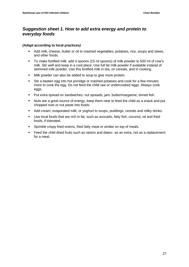### *Suggestion sheet 1. How to add extra energy and protein to everyday foods*

### *(***Adapt according to local practices***)*

- Add milk, cheese, butter or oil to mashed vegetables, potatoes, rice, soups and stews, and other foods.
- To make fortified milk: add 4 spoons (15 ml spoons) of milk powder to 500 ml of cow's milk. Stir well and keep in a cool place. Use full fat milk powder if available instead of skimmed milk powder. Use this fortified milk in tea, on cereals, and in cooking.
- **Milk powder can also be added to soup to give more protein.**
- Stir a beaten egg into hot porridge or mashed potatoes and cook for a few minutes more to cook the egg. Do not feed the child raw or undercooked eggs. Always cook eggs.
- Put extra spread on sandwiches: nut spreads, jam, butter/margarine, tinned fish.
- Nuts are a good source of energy, keep them near to feed the child as a snack and put chopped nuts or nut paste into foods.
- Add cream, evaporated milk, or yoghurt to soups, puddings, cereals and milky drinks.
- Use local foods that are rich in fat, such as avocado, fatty fish, coconut, oil and fried foods, if tolerated.
- Sprinkle crispy fried onions, fried fatty meat or similar on top of meals.
- Feed the child dried fruits such as raisins and dates– as an extra, not as a replacement for a meal.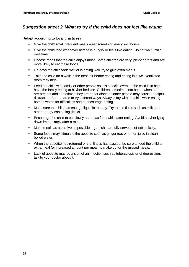### *Suggestion sheet 2. What to try if the child does not feel like eating*

### **(Adapt according to local practices)**

- Give the child small, frequent meals eat something every 2–3 hours.
- Give the child food whenever he/she is hungry or feels like eating. Do not wait until a mealtime.
- Choose foods that the child enjoys most. Some children are very 'picky' eaters and are more likely to eat these foods.
- On days the child feels well or is eating well, try to give extra meals.
- Take the child for a walk in the fresh air before eating and eating in a well-ventilated room may help.
- Feed the child with family or other people so it is a social event. If the child is in bed, have the family eating at his/her bedside. Children sometimes eat better when others are present and sometimes they are better alone as other people may cause unhelpful distraction. Be prepared to try different ways. Always stay with the child while eating, both to watch for difficulties and to encourage eating.
- **Make sure the child has enough liquid in the day. Try to use fluids such as milk and** other energy-containing drinks.
- Encourage the child to eat slowly and relax for a while after eating. Avoid him/her lying down immediately after a meal.
- Make meals as attractive as possible garnish, carefully served, set table nicely.
- Some foods may stimulate the appetite such as ginger tea, or lemon juice in clean boiled water.
- When the appetite has returned or the illness has passed, be sure to feed the child an extra meal (or increased amount per meal) to make up for the missed meals.
- Lack of appetite may be a sign of an infection such as tuberculosis or of depression; talk to your doctor about it.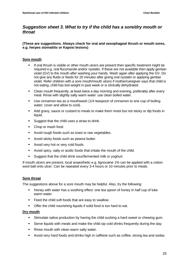### *Suggestion sheet 3. What to try if the child has a sore/dry mouth or throat*

### **(These are suggestions. Always check for oral and oesophageal thrush or mouth sores, e.g. herpes stomatitis or Kaposi lesions)**

### **Sore mouth**

- If oral thrush is visible or other mouth ulcers are present then specific treatment might be required e.g. oral fluconazole and/or nystatin. If these are not available then apply gentian violet (GV) to the mouth after washing your hands. Wash again after applying the GV. Do not give any fluids or feeds for 20 minutes after giving oral nystatin or applying gentian violet. Refer children with a sore mouth/mouth ulcers if mother/caregiver says that child is not eating, child has lost weight in past week or is clinically dehydrated.
- Clean mouth frequently, at least twice a day morning and evening, preferably after every meal. Rinse with slightly salty warm water: use clean boiled water.
- Use cinnamon tea as a mouthwash (1/4 teaspoon of cinnamon to one cup of boiling water; cover and allow to cool).
- Add gravy, sauce or custard to meals to make them moist but not sticky or dip foods in liquid.
- **Suggest that the child uses a straw to drink.**
- Chop or mash food.
- **Avoid rough foods such as toast or raw vegetables.**
- **Avoid sticky foods such as peanut butter.**
- **Avoid very hot or very cold foods.**
- Avoid spicy, salty or acidic foods that irritate the mouth of the child.
- Suggest that the child drink sour/fermented milk or yoghurt.

If mouth ulcers are present, local anaesthetic e.g. lignocaine 1% can be applied with a cotton wool ball onto ulcer. Can be repeated every 3-4 hours or 10 minutes prior to meals.

### **Sore throat**

The suggestions above for a sore mouth may be helpful. Also, try the following:

- Honey with water has a soothing effect: one tea spoon of honey in half cup of luke warm water.
- Feed the child soft foods that are easy to swallow.
- **•** Offer the child nourishing liquids if solid food is too hard to eat.

### **Dry mouth**

- Stimulate saliva production by having the child sucking a hard sweet or chewing gum.
- Serve liquids with meals and make the child sip cold drinks frequently during the day.
- Rinse mouth with clean warm salty water.
- Avoid very hard foods and drinks high in caffeine such as coffee, strong tea and sodas.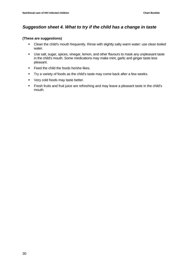### *Suggestion sheet 4. What to try if the child has a change in taste*

### **(These are suggestions)**

- Clean the child's mouth frequently. Rinse with slightly salty warm water: use clean boiled water.
- Use salt, sugar, spices, vinegar, lemon, and other flavours to mask any unpleasant taste in the child's mouth. Some medications may make mint, garlic and ginger taste less pleasant.
- Feed the child the foods he/she likes.
- Try a variety of foods as the child's taste may come back after a few weeks.
- **very cold foods may taste better.**
- Fresh fruits and fruit juice are refreshing and may leave a pleasant taste in the child's mouth.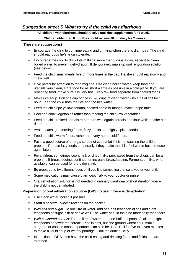### *Suggestion sheet 5. What to try if the child has diarrhoea*

**All children with diarrhoea should receive oral zinc supplements for 2 weeks.** 

### **Children older than 6 months should receive 20 mg daily for 2 weeks**

### **(These are suggestions)**

- **Encourage the child to continue eating and drinking when there is diarrhoea. The child** should eat foods he/she can tolerate.
- **Encourage the child to drink lots of fluids: more than 8 cups a day, especially clean** boiled water, to prevent dehydration. If dehydrated, make up oral rehydration solution (see below).
- **Feed the child small meals, five or more times in the day. He/she should eat slowly and** chew well.
- Give particular attention to food hygiene. Use clean boiled water, keep food and utensils very clean, store food for as short a time as possible in a cold place. If you are reheating food, make sure it is very hot. Keep raw food separate from cooked foods.
- Make rice soup. Boil one cup of rice in 5–6 cups of clean water with a bit of salt for 1 hour. Feed the child both the rice and the rice water.
- **Feed the child ripe yellow banana, cooked apple or mango; avoid unripe fruits.**
- Peel and cook vegetables rather than feeding the child raw vegetables.
- Feed the child refined cereals rather than wholegrain cereals and flour while he/she has diarrhoea.
- Avoid beans, gas-forming foods, fizzy drinks and highly-spiced foods.
- Feed the child warm foods, rather than very hot or cold foods.
- Fat is a good source of energy, so do not cut out fat if it is not causing the child a problem. Reduce fatty foods temporarily if they make the child feel worse but introduce again later.
- For children: sometimes cow's milk or dried milks purchased from the shops can be a problem. If breastfeeding, continue, or increase breastfeeding. Fermented milks, when available, can be used for the older child.
- Be prepared to try different foods until you find something that suits you or your child.
- Some medications may cause diarrhoea. Talk to your doctor or nurse.
- Oral rehydration solution is not needed in ordinary diarrhoea of short duration where the child is not dehydrated.

### **Preparation of oral rehydration solution (ORS) to use if there is dehydration**

- Use clean water, boiled if possible.
- **From a packet:** Follow directions on the packet.
- *With salt and sugar:* To one litre of water, add one-half teaspoon of salt and eight teaspoons of sugar. Stir or shake well. The water should taste no more salty than tears.
- *With powdered cereals:* To one litre of water, add one-half teaspoon of salt and eight teaspoons of powdered cereals. Rice is best, but fine ground wheat flour, maize, sorghum or cooked mashed potatoes can also be used. Boil for five to seven minutes to make a liquid soup or watery porridge. Cool the drink quickly.
- In addition to ORS, also have the child eating and drinking foods and fluids that are tolerated.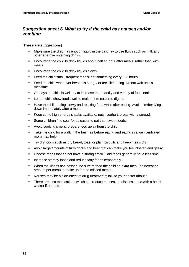### *Suggestion sheet 6. What to try if the child has nausea and/or vomiting*

### **(These are suggestions)**

- Make sure the child has enough liquid in the day. Try to use fluids such as milk and other energy-containing drinks.
- **Encourage the child to drink liquids about half an hour after meals, rather than with** meals.
- **Encourage the child to drink liquids slowly.**
- Feed the child small, frequent meals: eat something every 2–3 hours.
- Feed the child whenever he/she is hungry or feel like eating. Do not wait until a mealtime.
- On days the child is well, try to increase the quantity and variety of food intake.
- **EXECT:** Let the child chew foods well to make them easier to digest.
- Have the child eating slowly and relaxing for a while after eating. Avoid him/her lying down immediately after a meal.
- Keep some high energy snacks available: nuts, yoghurt, bread with a spread.
- Some children find sour foods easier to eat than sweet foods.
- Avoid cooking smells: prepare food away from the child.
- Take the child for a walk in the fresh air before eating and eating in a well-ventilated room may help.
- Try dry foods such as dry bread, toast or plain biscuits and keep meals dry.
- Avoid large amounts of fizzy drinks and beer that can make you feel bloated and gassy.
- Choose foods that do not have a strong smell. Cold foods generally have less smell.
- **Increase starchy foods and reduce fatty foods temporarily.**
- When the illness has passed, be sure to feed the child an extra meal (or increased amount per meal) to make up for the missed meals.
- Nausea may be a side-effect of drug treatments; talk to your doctor about it.
- There are also medications which can reduce nausea, so discuss these with a health worker if needed.